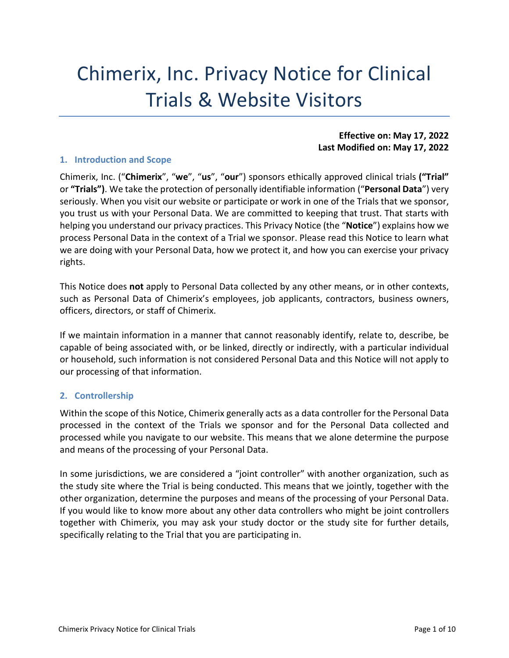# Chimerix, Inc. Privacy Notice for Clinical Trials & Website Visitors

#### **Effective on: May 17, 2022 Last Modified on: May 17, 2022**

#### **1. Introduction and Scope**

Chimerix, Inc. ("**Chimerix**", "**we**", "**us**", "**our**") sponsors ethically approved clinical trials **("Trial"**  or **"Trials")**. We take the protection of personally identifiable information ("**Personal Data**") very seriously. When you visit our website or participate or work in one of the Trials that we sponsor, you trust us with your Personal Data. We are committed to keeping that trust. That starts with helping you understand our privacy practices. This Privacy Notice (the "**Notice**") explains how we process Personal Data in the context of a Trial we sponsor. Please read this Notice to learn what we are doing with your Personal Data, how we protect it, and how you can exercise your privacy rights.

This Notice does **not** apply to Personal Data collected by any other means, or in other contexts, such as Personal Data of Chimerix's employees, job applicants, contractors, business owners, officers, directors, or staff of Chimerix.

If we maintain information in a manner that cannot reasonably identify, relate to, describe, be capable of being associated with, or be linked, directly or indirectly, with a particular individual or household, such information is not considered Personal Data and this Notice will not apply to our processing of that information.

## **2. Controllership**

Within the scope of this Notice, Chimerix generally acts as a data controller for the Personal Data processed in the context of the Trials we sponsor and for the Personal Data collected and processed while you navigate to our website. This means that we alone determine the purpose and means of the processing of your Personal Data.

In some jurisdictions, we are considered a "joint controller" with another organization, such as the study site where the Trial is being conducted. This means that we jointly, together with the other organization, determine the purposes and means of the processing of your Personal Data. If you would like to know more about any other data controllers who might be joint controllers together with Chimerix, you may ask your study doctor or the study site for further details, specifically relating to the Trial that you are participating in.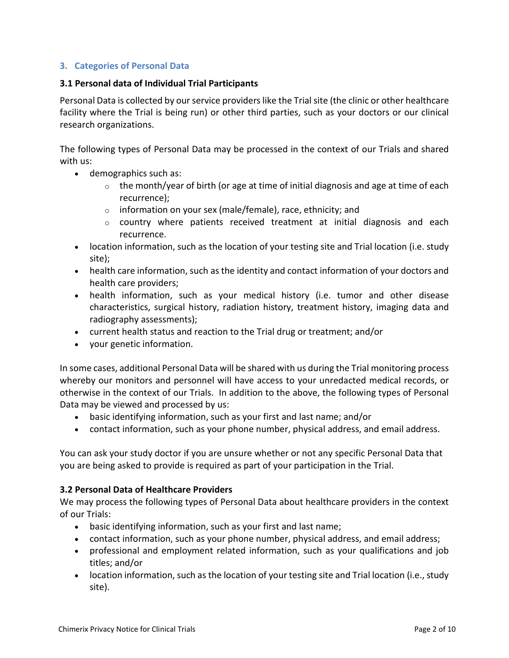# **3. Categories of Personal Data**

#### **3.1 Personal data of Individual Trial Participants**

Personal Data is collected by our service providers like the Trial site (the clinic or other healthcare facility where the Trial is being run) or other third parties, such as your doctors or our clinical research organizations.

The following types of Personal Data may be processed in the context of our Trials and shared with us:

- demographics such as:
	- $\circ$  the month/year of birth (or age at time of initial diagnosis and age at time of each recurrence);
	- $\circ$  information on your sex (male/female), race, ethnicity; and
	- $\circ$  country where patients received treatment at initial diagnosis and each recurrence.
- location information, such as the location of your testing site and Trial location (i.e. study site);
- health care information, such as the identity and contact information of your doctors and health care providers;
- health information, such as your medical history (i.e. tumor and other disease characteristics, surgical history, radiation history, treatment history, imaging data and radiography assessments);
- current health status and reaction to the Trial drug or treatment; and/or
- your genetic information.

In some cases, additional Personal Data will be shared with us during the Trial monitoring process whereby our monitors and personnel will have access to your unredacted medical records, or otherwise in the context of our Trials. In addition to the above, the following types of Personal Data may be viewed and processed by us:

- basic identifying information, such as your first and last name; and/or
- contact information, such as your phone number, physical address, and email address.

You can ask your study doctor if you are unsure whether or not any specific Personal Data that you are being asked to provide is required as part of your participation in the Trial.

## **3.2 Personal Data of Healthcare Providers**

We may process the following types of Personal Data about healthcare providers in the context of our Trials:

- basic identifying information, such as your first and last name;
- contact information, such as your phone number, physical address, and email address;
- professional and employment related information, such as your qualifications and job titles; and/or
- location information, such as the location of your testing site and Trial location (i.e., study site).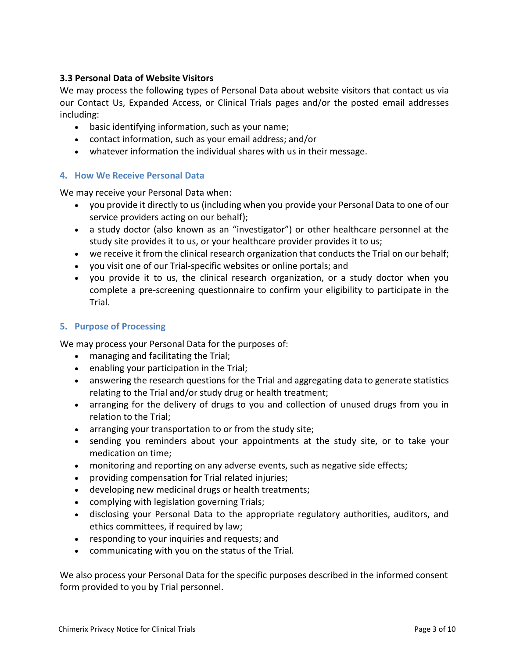# **3.3 Personal Data of Website Visitors**

We may process the following types of Personal Data about website visitors that contact us via our Contact Us, Expanded Access, or Clinical Trials pages and/or the posted email addresses including:

- basic identifying information, such as your name;
- contact information, such as your email address; and/or
- whatever information the individual shares with us in their message.

# **4. How We Receive Personal Data**

We may receive your Personal Data when:

- you provide it directly to us (including when you provide your Personal Data to one of our service providers acting on our behalf);
- a study doctor (also known as an "investigator") or other healthcare personnel at the study site provides it to us, or your healthcare provider provides it to us;
- we receive it from the clinical research organization that conducts the Trial on our behalf;
- you visit one of our Trial-specific websites or online portals; and
- you provide it to us, the clinical research organization, or a study doctor when you complete a pre-screening questionnaire to confirm your eligibility to participate in the Trial.

## <span id="page-2-0"></span>**5. Purpose of Processing**

We may process your Personal Data for the purposes of:

- managing and facilitating the Trial;
- enabling your participation in the Trial;
- answering the research questions for the Trial and aggregating data to generate statistics relating to the Trial and/or study drug or health treatment;
- arranging for the delivery of drugs to you and collection of unused drugs from you in relation to the Trial;
- arranging your transportation to or from the study site;
- sending you reminders about your appointments at the study site, or to take your medication on time;
- monitoring and reporting on any adverse events, such as negative side effects;
- providing compensation for Trial related injuries;
- developing new medicinal drugs or health treatments;
- complying with legislation governing Trials;
- disclosing your Personal Data to the appropriate regulatory authorities, auditors, and ethics committees, if required by law;
- responding to your inquiries and requests; and
- communicating with you on the status of the Trial.

We also process your Personal Data for the specific purposes described in the informed consent form provided to you by Trial personnel.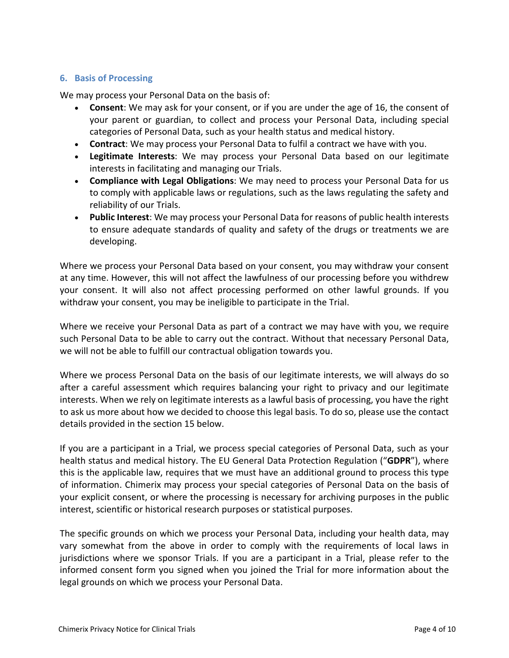#### <span id="page-3-0"></span>**6. Basis of Processing**

We may process your Personal Data on the basis of:

- **Consent**: We may ask for your consent, or if you are under the age of 16, the consent of your parent or guardian, to collect and process your Personal Data, including special categories of Personal Data, such as your health status and medical history.
- **Contract**: We may process your Personal Data to fulfil a contract we have with you.
- **Legitimate Interests**: We may process your Personal Data based on our legitimate interests in facilitating and managing our Trials.
- **Compliance with Legal Obligations**: We may need to process your Personal Data for us to comply with applicable laws or regulations, such as the laws regulating the safety and reliability of our Trials.
- **Public Interest**: We may process your Personal Data for reasons of public health interests to ensure adequate standards of quality and safety of the drugs or treatments we are developing.

Where we process your Personal Data based on your consent, you may withdraw your consent at any time. However, this will not affect the lawfulness of our processing before you withdrew your consent. It will also not affect processing performed on other lawful grounds. If you withdraw your consent, you may be ineligible to participate in the Trial.

Where we receive your Personal Data as part of a contract we may have with you, we require such Personal Data to be able to carry out the contract. Without that necessary Personal Data, we will not be able to fulfill our contractual obligation towards you.

Where we process Personal Data on the basis of our legitimate interests, we will always do so after a careful assessment which requires balancing your right to privacy and our legitimate interests. When we rely on legitimate interests as a lawful basis of processing, you have the right to ask us more about how we decided to choose this legal basis. To do so, please use the contact details provided in the section [15](#page-7-0) below.

If you are a participant in a Trial, we process special categories of Personal Data, such as your health status and medical history. The EU General Data Protection Regulation ("**GDPR**"), where this is the applicable law, requires that we must have an additional ground to process this type of information. Chimerix may process your special categories of Personal Data on the basis of your explicit consent, or where the processing is necessary for archiving purposes in the public interest, scientific or historical research purposes or statistical purposes.

The specific grounds on which we process your Personal Data, including your health data, may vary somewhat from the above in order to comply with the requirements of local laws in jurisdictions where we sponsor Trials. If you are a participant in a Trial, please refer to the informed consent form you signed when you joined the Trial for more information about the legal grounds on which we process your Personal Data.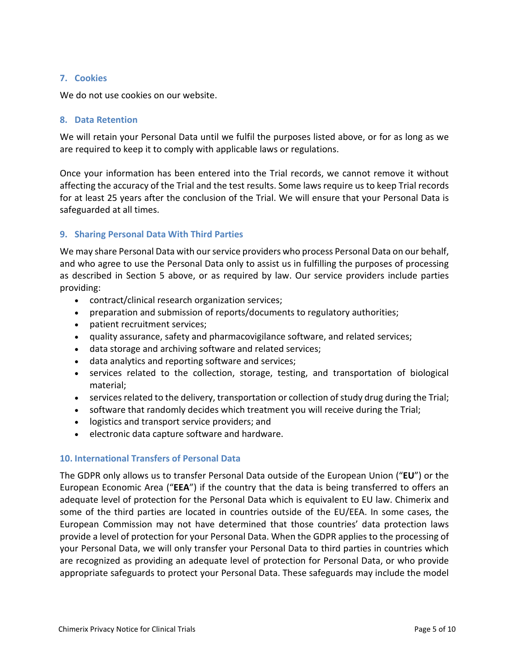#### **7. Cookies**

We do not use cookies on our website.

#### **8. Data Retention**

We will retain your Personal Data until we fulfil the purposes listed above, or for as long as we are required to keep it to comply with applicable laws or regulations.

Once your information has been entered into the Trial records, we cannot remove it without affecting the accuracy of the Trial and the test results. Some laws require us to keep Trial records for at least 25 years after the conclusion of the Trial. We will ensure that your Personal Data is safeguarded at all times.

## **9. Sharing Personal Data With Third Parties**

We may share Personal Data with our service providers who process Personal Data on our behalf, and who agree to use the Personal Data only to assist us in fulfilling the purposes of processing as described in Section [5](#page-2-0) above, or as required by law. Our service providers include parties providing:

- contract/clinical research organization services;
- preparation and submission of reports/documents to regulatory authorities;
- patient recruitment services;
- quality assurance, safety and pharmacovigilance software, and related services;
- data storage and archiving software and related services;
- data analytics and reporting software and services;
- services related to the collection, storage, testing, and transportation of biological material;
- services related to the delivery, transportation or collection of study drug during the Trial;
- software that randomly decides which treatment you will receive during the Trial;
- logistics and transport service providers; and
- electronic data capture software and hardware.

## **10. International Transfers of Personal Data**

The GDPR only allows us to transfer Personal Data outside of the European Union ("**EU**") or the European Economic Area ("**EEA**") if the country that the data is being transferred to offers an adequate level of protection for the Personal Data which is equivalent to EU law. Chimerix and some of the third parties are located in countries outside of the EU/EEA. In some cases, the European Commission may not have determined that those countries' data protection laws provide a level of protection for your Personal Data. When the GDPR applies to the processing of your Personal Data, we will only transfer your Personal Data to third parties in countries which are recognized as providing an adequate level of protection for Personal Data, or who provide appropriate safeguards to protect your Personal Data. These safeguards may include the model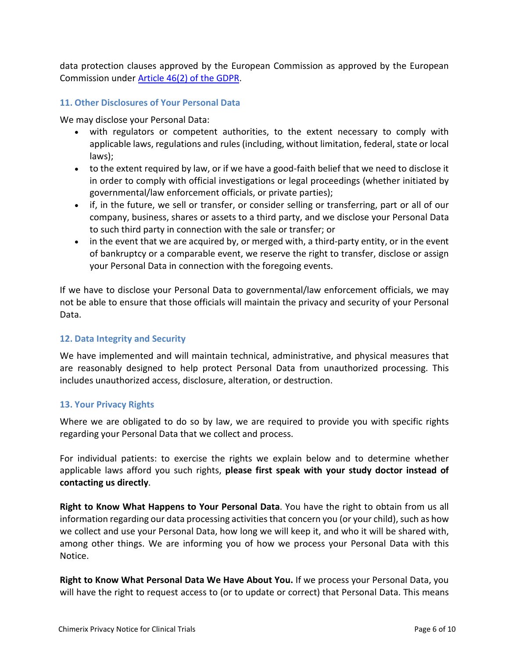data protection clauses approved by the European Commission as approved by the European Commission under [Article 46\(2\) of the GDPR.](https://gdpr.verasafe.com/article-46/)

## **11. Other Disclosures of Your Personal Data**

We may disclose your Personal Data:

- with regulators or competent authorities, to the extent necessary to comply with applicable laws, regulations and rules (including, without limitation, federal, state or local laws);
- to the extent required by law, or if we have a good-faith belief that we need to disclose it in order to comply with official investigations or legal proceedings (whether initiated by governmental/law enforcement officials, or private parties);
- if, in the future, we sell or transfer, or consider selling or transferring, part or all of our company, business, shares or assets to a third party, and we disclose your Personal Data to such third party in connection with the sale or transfer; or
- in the event that we are acquired by, or merged with, a third-party entity, or in the event of bankruptcy or a comparable event, we reserve the right to transfer, disclose or assign your Personal Data in connection with the foregoing events.

If we have to disclose your Personal Data to governmental/law enforcement officials, we may not be able to ensure that those officials will maintain the privacy and security of your Personal Data.

## **12. Data Integrity and Security**

We have implemented and will maintain technical, administrative, and physical measures that are reasonably designed to help protect Personal Data from unauthorized processing. This includes unauthorized access, disclosure, alteration, or destruction.

## **13. Your Privacy Rights**

Where we are obligated to do so by law, we are required to provide you with specific rights regarding your Personal Data that we collect and process.

For individual patients: to exercise the rights we explain below and to determine whether applicable laws afford you such rights, **please first speak with your study doctor instead of contacting us directly**.

**Right to Know What Happens to Your Personal Data**. You have the right to obtain from us all information regarding our data processing activities that concern you (or your child), such as how we collect and use your Personal Data, how long we will keep it, and who it will be shared with, among other things. We are informing you of how we process your Personal Data with this Notice.

**Right to Know What Personal Data We Have About You.** If we process your Personal Data, you will have the right to request access to (or to update or correct) that Personal Data. This means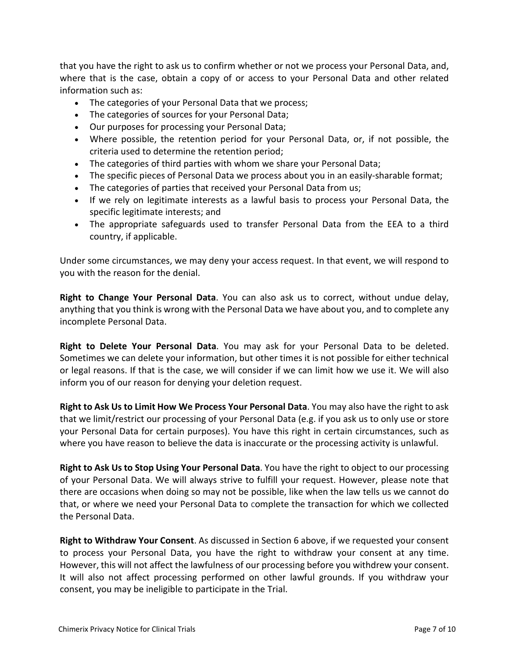that you have the right to ask us to confirm whether or not we process your Personal Data, and, where that is the case, obtain a copy of or access to your Personal Data and other related information such as:

- The categories of your Personal Data that we process;
- The categories of sources for your Personal Data;
- Our purposes for processing your Personal Data;
- Where possible, the retention period for your Personal Data, or, if not possible, the criteria used to determine the retention period;
- The categories of third parties with whom we share your Personal Data;
- The specific pieces of Personal Data we process about you in an easily-sharable format;
- The categories of parties that received your Personal Data from us;
- If we rely on legitimate interests as a lawful basis to process your Personal Data, the specific legitimate interests; and
- The appropriate safeguards used to transfer Personal Data from the EEA to a third country, if applicable.

Under some circumstances, we may deny your access request. In that event, we will respond to you with the reason for the denial.

**Right to Change Your Personal Data**. You can also ask us to correct, without undue delay, anything that you think is wrong with the Personal Data we have about you, and to complete any incomplete Personal Data.

**Right to Delete Your Personal Data**. You may ask for your Personal Data to be deleted. Sometimes we can delete your information, but other times it is not possible for either technical or legal reasons. If that is the case, we will consider if we can limit how we use it. We will also inform you of our reason for denying your deletion request.

**Right to Ask Us to Limit How We Process Your Personal Data**. You may also have the right to ask that we limit/restrict our processing of your Personal Data (e.g. if you ask us to only use or store your Personal Data for certain purposes). You have this right in certain circumstances, such as where you have reason to believe the data is inaccurate or the processing activity is unlawful.

**Right to Ask Us to Stop Using Your Personal Data**. You have the right to object to our processing of your Personal Data. We will always strive to fulfill your request. However, please note that there are occasions when doing so may not be possible, like when the law tells us we cannot do that, or where we need your Personal Data to complete the transaction for which we collected the Personal Data.

**Right to Withdraw Your Consent**. As discussed in Section [6](#page-3-0) above, if we requested your consent to process your Personal Data, you have the right to withdraw your consent at any time. However, this will not affect the lawfulness of our processing before you withdrew your consent. It will also not affect processing performed on other lawful grounds. If you withdraw your consent, you may be ineligible to participate in the Trial.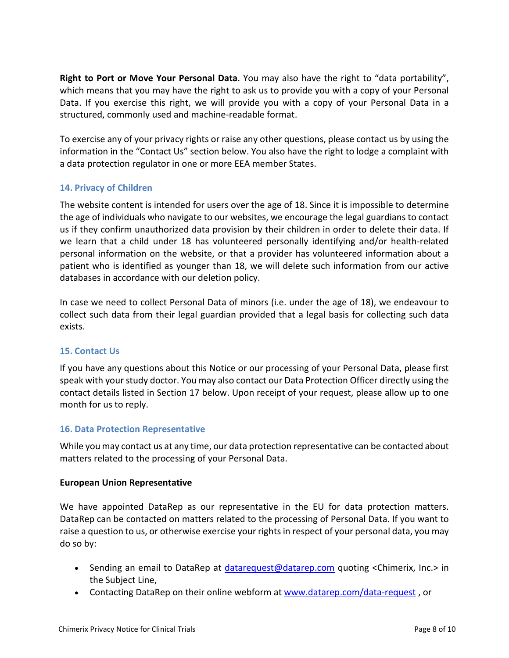**Right to Port or Move Your Personal Data**. You may also have the right to "data portability", which means that you may have the right to ask us to provide you with a copy of your Personal Data. If you exercise this right, we will provide you with a copy of your Personal Data in a structured, commonly used and machine-readable format.

To exercise any of your privacy rights or raise any other questions, please contact us by using the information in the "Contact Us" section below. You also have the right to lodge a complaint with a data protection regulator in one or more EEA member States.

# **14. Privacy of Children**

The website content is intended for users over the age of 18. Since it is impossible to determine the age of individuals who navigate to our websites, we encourage the legal guardians to contact us if they confirm unauthorized data provision by their children in order to delete their data. If we learn that a child under 18 has volunteered personally identifying and/or health-related personal information on the website, or that a provider has volunteered information about a patient who is identified as younger than 18, we will delete such information from our active databases in accordance with our deletion policy.

In case we need to collect Personal Data of minors (i.e. under the age of 18), we endeavour to collect such data from their legal guardian provided that a legal basis for collecting such data exists.

## <span id="page-7-0"></span>**15. Contact Us**

If you have any questions about this Notice or our processing of your Personal Data, please first speak with your study doctor. You may also contact our Data Protection Officer directly using the contact details listed in Section [17](#page-9-0) below. Upon receipt of your request, please allow up to one month for us to reply.

## **16. Data Protection Representative**

While you may contact us at any time, our data protection representative can be contacted about matters related to the processing of your Personal Data.

## **European Union Representative**

We have appointed DataRep as our representative in the EU for data protection matters. DataRep can be contacted on matters related to the processing of Personal Data. If you want to raise a question to us, or otherwise exercise your rights in respect of your personal data, you may do so by:

- Sending an email to DataRep at [datarequest@datarep.com](mailto:datarequest@datarep.com) quoting <Chimerix, Inc.> in the Subject Line,
- Contacting DataRep on their online webform at [www.datarep.com/data-request](http://www.datarep.com/data-request), or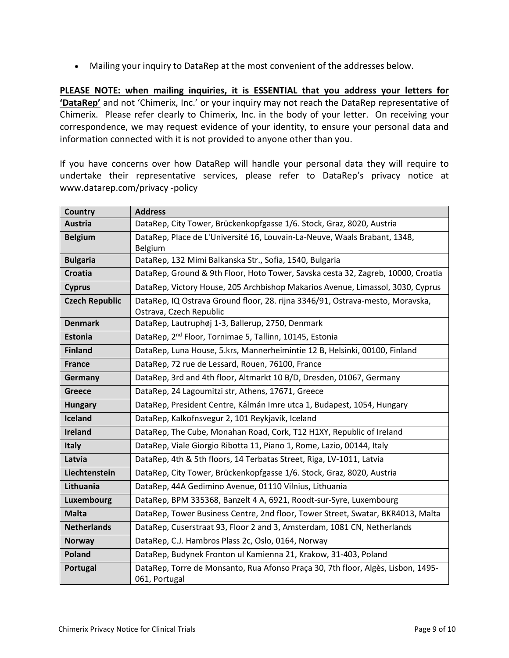• Mailing your inquiry to DataRep at the most convenient of the addresses below.

**PLEASE NOTE: when mailing inquiries, it is ESSENTIAL that you address your letters for 'DataRep'** and not 'Chimerix, Inc.' or your inquiry may not reach the DataRep representative of Chimerix. Please refer clearly to Chimerix, Inc. in the body of your letter. On receiving your correspondence, we may request evidence of your identity, to ensure your personal data and information connected with it is not provided to anyone other than you.

If you have concerns over how DataRep will handle your personal data they will require to undertake their representative services, please refer to DataRep's privacy notice at www.datarep.com/privacy -policy

| Country               | <b>Address</b>                                                                                           |
|-----------------------|----------------------------------------------------------------------------------------------------------|
| <b>Austria</b>        | DataRep, City Tower, Brückenkopfgasse 1/6. Stock, Graz, 8020, Austria                                    |
| <b>Belgium</b>        | DataRep, Place de L'Université 16, Louvain-La-Neuve, Waals Brabant, 1348,<br>Belgium                     |
| <b>Bulgaria</b>       | DataRep, 132 Mimi Balkanska Str., Sofia, 1540, Bulgaria                                                  |
| <b>Croatia</b>        | DataRep, Ground & 9th Floor, Hoto Tower, Savska cesta 32, Zagreb, 10000, Croatia                         |
| <b>Cyprus</b>         | DataRep, Victory House, 205 Archbishop Makarios Avenue, Limassol, 3030, Cyprus                           |
| <b>Czech Republic</b> | DataRep, IQ Ostrava Ground floor, 28. rijna 3346/91, Ostrava-mesto, Moravska,<br>Ostrava, Czech Republic |
| <b>Denmark</b>        | DataRep, Lautruphøj 1-3, Ballerup, 2750, Denmark                                                         |
| <b>Estonia</b>        | DataRep, 2 <sup>nd</sup> Floor, Tornimae 5, Tallinn, 10145, Estonia                                      |
| <b>Finland</b>        | DataRep, Luna House, 5.krs, Mannerheimintie 12 B, Helsinki, 00100, Finland                               |
| <b>France</b>         | DataRep, 72 rue de Lessard, Rouen, 76100, France                                                         |
| Germany               | DataRep, 3rd and 4th floor, Altmarkt 10 B/D, Dresden, 01067, Germany                                     |
| <b>Greece</b>         | DataRep, 24 Lagoumitzi str, Athens, 17671, Greece                                                        |
| <b>Hungary</b>        | DataRep, President Centre, Kálmán Imre utca 1, Budapest, 1054, Hungary                                   |
| Iceland               | DataRep, Kalkofnsvegur 2, 101 Reykjavík, Iceland                                                         |
| <b>Ireland</b>        | DataRep, The Cube, Monahan Road, Cork, T12 H1XY, Republic of Ireland                                     |
| <b>Italy</b>          | DataRep, Viale Giorgio Ribotta 11, Piano 1, Rome, Lazio, 00144, Italy                                    |
| Latvia                | DataRep, 4th & 5th floors, 14 Terbatas Street, Riga, LV-1011, Latvia                                     |
| Liechtenstein         | DataRep, City Tower, Brückenkopfgasse 1/6. Stock, Graz, 8020, Austria                                    |
| Lithuania             | DataRep, 44A Gedimino Avenue, 01110 Vilnius, Lithuania                                                   |
| Luxembourg            | DataRep, BPM 335368, Banzelt 4 A, 6921, Roodt-sur-Syre, Luxembourg                                       |
| <b>Malta</b>          | DataRep, Tower Business Centre, 2nd floor, Tower Street, Swatar, BKR4013, Malta                          |
| <b>Netherlands</b>    | DataRep, Cuserstraat 93, Floor 2 and 3, Amsterdam, 1081 CN, Netherlands                                  |
| <b>Norway</b>         | DataRep, C.J. Hambros Plass 2c, Oslo, 0164, Norway                                                       |
| <b>Poland</b>         | DataRep, Budynek Fronton ul Kamienna 21, Krakow, 31-403, Poland                                          |
| Portugal              | DataRep, Torre de Monsanto, Rua Afonso Praça 30, 7th floor, Algès, Lisbon, 1495-<br>061, Portugal        |